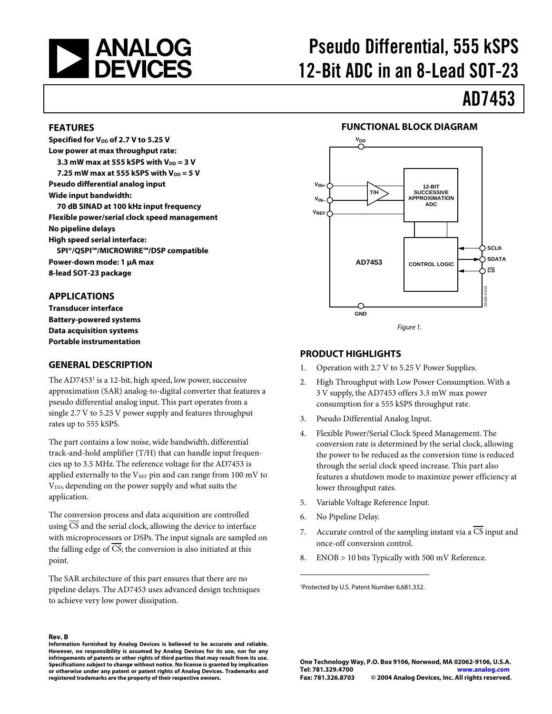

# Pseudo Differential, 555 kSPS 12-Bit ADC in an 8-Lead SOT-23

# AD7453

#### **FEATURES**

Specified for V<sub>DD</sub> of 2.7 V to 5.25 V **Low power at max throughput rate: 3.3 mW max at 555 kSPS with V<sub>DD</sub> = 3 V 7.25 mW max at 555 kSPS with V<sub>DD</sub> = 5 V Pseudo differential analog input Wide input bandwidth: 70 dB SINAD at 100 kHz input frequency Flexible power/serial clock speed management No pipeline delays High speed serial interface: SPI®/QSPI™/MICROWIRE™/DSP compatible Power-down mode: 1 µA max 8-lead SOT-23 package** 

#### **APPLICATIONS**

**Transducer interface Battery-powered systems Data acquisition systems Portable instrumentation** 

#### **GENERAL DESCRIPTION**

The AD7453<sup>1</sup> is a 12-bit, high speed, low power, successive approximation (SAR) analog-to-digital converter that features a pseudo differential analog input. This part operates from a single 2.7 V to 5.25 V power supply and features throughput rates up to 555 kSPS.

The part contains a low noise, wide bandwidth, differential track-and-hold amplifier (T/H) that can handle input frequencies up to 3.5 MHz. The reference voltage for the AD7453 is applied externally to the  $V_{REF}$  pin and can range from 100 mV to V<sub>DD</sub>, depending on the power supply and what suits the application.

The conversion process and data acquisition are controlled using CS and the serial clock, allowing the device to interface with microprocessors or DSPs. The input signals are sampled on the falling edge of CS; the conversion is also initiated at this point.

The SAR architecture of this part ensures that there are no pipeline delays. The AD7453 uses advanced design techniques to achieve very low power dissipation.

**Rev. B Information furnished by Analog Devices is believed to be accurate and reliable. However, no responsibility is assumed by Analog Devices for its use, nor for any infringements of patents or other rights of third parties that may result from its use. Specifications subject to change without notice. No license is granted by implication or otherwise under any patent or patent rights of Analog Devices. Trademarks and registered trademarks are the property of their respective owners.**

#### **FUNCTIONAL BLOCK DIAGRAM**



#### **PRODUCT HIGHLIGHTS**

- 1. Operation with 2.7 V to 5.25 V Power Supplies.
- 2. High Throughput with Low Power Consumption.With a 3 V supply, the AD7453 offers 3.3 mW max power consumption for a 555 kSPS throughput rate.
- 3. Pseudo Differential Analog Input.
- 4. Flexible Power/Serial Clock Speed Management. The conversion rate is determined by the serial clock, allowing the power to be reduced as the conversion time is reduced through the serial clock speed increase. This part also features a shutdown mode to maximize power efficiency at lower throughput rates.
- 5. Variable Voltage Reference Input.
- 6. No Pipeline Delay.

 $\overline{a}$ 

- 7. Accurate control of the sampling instant via a  $\overline{CS}$  input and once-off conversion control.
- 8. ENOB > 10 bits Typically with 500 mV Reference.

1 Protected by U.S. Patent Number 6,681,332.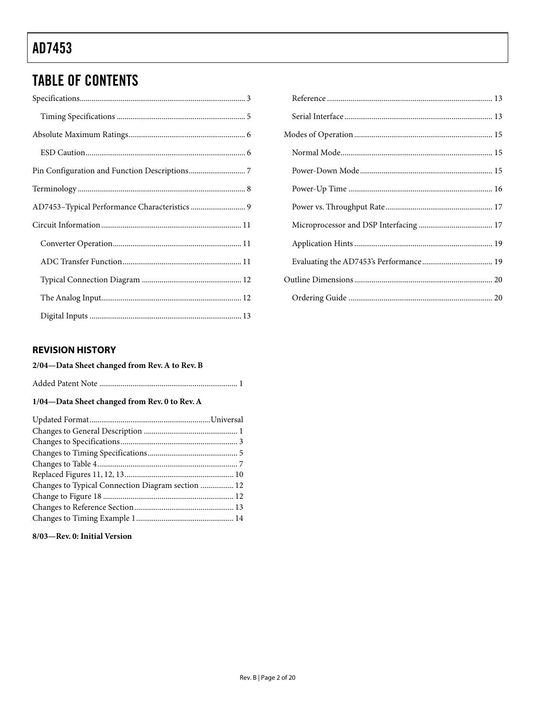## **TABLE OF CONTENTS**

#### **REVISION HISTORY**

#### 2/04-Data Sheet changed from Rev. A to Rev. B

#### 1/04-Data Sheet changed from Rev. 0 to Rev. A

| Changes to Typical Connection Diagram section  12 |  |
|---------------------------------------------------|--|
|                                                   |  |
|                                                   |  |
|                                                   |  |

#### 8/03-Rev. 0: Initial Version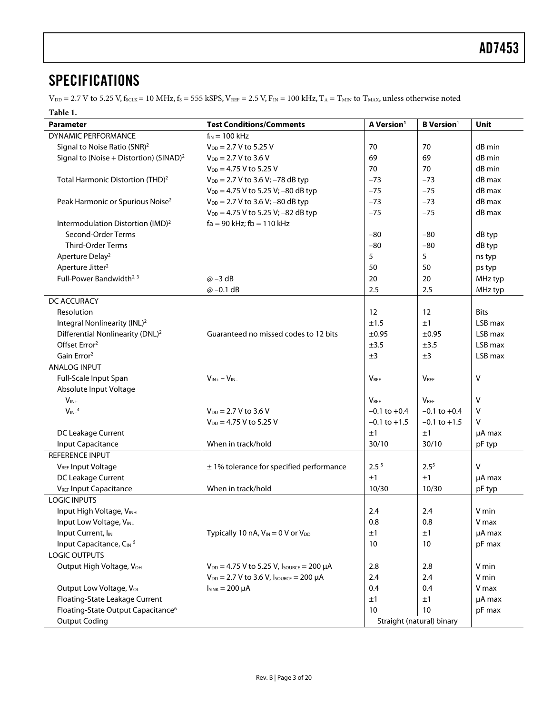### <span id="page-2-0"></span>**SPECIFICATIONS**

 $V_{\text{DD}} = 2.7 \text{ V}$  to 5.25 V,  $f_{\text{SCLK}} = 10 \text{ MHz}$ ,  $f_{\text{S}} = 555 \text{ kSPS}$ ,  $V_{\text{REF}} = 2.5 \text{ V}$ ,  $F_{\text{IN}} = 100 \text{ kHz}$ ,  $T_{\text{A}} = T_{\text{MIN}}$  to  $T_{\text{MAX}}$ , unless otherwise noted

#### <span id="page-2-1"></span>**Table 1.**

<span id="page-2-4"></span><span id="page-2-3"></span><span id="page-2-2"></span>

| Parameter                                            | <b>Test Conditions/Comments</b>                       | A Version <sup>1</sup> | <b>B</b> Version <sup>1</sup> | Unit        |
|------------------------------------------------------|-------------------------------------------------------|------------------------|-------------------------------|-------------|
| DYNAMIC PERFORMANCE                                  | $f_{IN}$ = 100 kHz                                    |                        |                               |             |
| Signal to Noise Ratio (SNR) <sup>2</sup>             | $V_{DD} = 2.7 V$ to 5.25 V                            | 70                     | 70                            | dB min      |
| Signal to (Noise + Distortion) (SINAD) <sup>2</sup>  | $V_{DD}$ = 2.7 V to 3.6 V                             | 69                     | 69                            | dB min      |
|                                                      | $V_{DD} = 4.75$ V to 5.25 V                           | 70                     | 70                            | dB min      |
| Total Harmonic Distortion (THD) <sup>2</sup>         | $V_{DD} = 2.7 V$ to 3.6 V; -78 dB typ                 | $-73$                  | $-73$                         | dB max      |
|                                                      | $V_{DD} = 4.75$ V to 5.25 V; -80 dB typ               | $-75$                  | $-75$                         | dB max      |
| Peak Harmonic or Spurious Noise <sup>2</sup>         | $V_{DD} = 2.7 V$ to 3.6 V; -80 dB typ                 | $-73$                  | $-73$                         | dB max      |
|                                                      | $V_{DD} = 4.75$ V to 5.25 V; -82 dB typ               | $-75$                  | $-75$                         | dB max      |
| Intermodulation Distortion (IMD) <sup>2</sup>        | $fa = 90$ kHz; $fb = 110$ kHz                         |                        |                               |             |
| Second-Order Terms                                   |                                                       | $-80$                  | $-80$                         | dB typ      |
| <b>Third-Order Terms</b>                             |                                                       | $-80$                  | $-80$                         | dB typ      |
| Aperture Delay <sup>2</sup>                          |                                                       | 5                      | 5                             | ns typ      |
| Aperture Jitter <sup>2</sup>                         |                                                       | 50                     | 50                            | ps typ      |
| Full-Power Bandwidth <sup>2, 3</sup>                 | $\omega$ -3 dB                                        | 20                     | 20                            | MHz typ     |
|                                                      | $@ -0.1 dB$                                           | 2.5                    | 2.5                           | MHz typ     |
| DC ACCURACY                                          |                                                       |                        |                               |             |
| Resolution                                           |                                                       | 12                     | 12                            | <b>Bits</b> |
| Integral Nonlinearity (INL) <sup>2</sup>             |                                                       | ±1.5                   | ±1                            | LSB max     |
| Differential Nonlinearity (DNL) <sup>2</sup>         | Guaranteed no missed codes to 12 bits                 | ±0.95                  | ±0.95                         | LSB max     |
| Offset Error <sup>2</sup>                            |                                                       | ±3.5                   | ±3.5                          | LSB max     |
| Gain Error <sup>2</sup>                              |                                                       | ±3                     | ±3                            | LSB max     |
| <b>ANALOG INPUT</b>                                  |                                                       |                        |                               |             |
| Full-Scale Input Span                                | $V_{IN+} - V_{IN-}$                                   | <b>V<sub>REF</sub></b> | <b>VREF</b>                   | v           |
| Absolute Input Voltage                               |                                                       |                        |                               |             |
| $V_{IN+}$                                            |                                                       | <b>VRFF</b>            | <b>VRFF</b>                   | v           |
| $V_{IN-}^4$                                          | $V_{DD} = 2.7 V$ to 3.6 V                             | $-0.1$ to $+0.4$       | $-0.1$ to $+0.4$              | v           |
|                                                      | $V_{DD} = 4.75$ V to 5.25 V                           | $-0.1$ to $+1.5$       | $-0.1$ to $+1.5$              | v           |
| DC Leakage Current                                   |                                                       | ±1                     | ±1                            | µA max      |
| Input Capacitance                                    | When in track/hold                                    | 30/10                  | 30/10                         | pF typ      |
| REFERENCE INPUT                                      |                                                       |                        |                               |             |
| V <sub>REF</sub> Input Voltage                       | $± 1%$ tolerance for specified performance            | 2.5 <sup>5</sup>       | $2.5^{5}$                     | v           |
| DC Leakage Current                                   |                                                       | ±1                     | ±1                            |             |
|                                                      | When in track/hold                                    | 10/30                  | 10/30                         | µA max      |
| <b>VREF Input Capacitance</b><br><b>LOGIC INPUTS</b> |                                                       |                        |                               | pF typ      |
|                                                      |                                                       |                        |                               |             |
| Input High Voltage, VINH                             |                                                       | 2.4                    | 2.4                           | V min       |
| Input Low Voltage, VINL                              |                                                       | 0.8                    | 0.8                           | V max       |
| Input Current, I <sub>IN</sub>                       | Typically 10 nA, $V_{IN} = 0$ V or $V_{DD}$           | ±1                     | ±1                            | µA max      |
| Input Capacitance, CIN 6                             |                                                       | 10                     | 10                            | pF max      |
| <b>LOGIC OUTPUTS</b>                                 |                                                       |                        |                               |             |
| Output High Voltage, V <sub>OH</sub>                 | $V_{DD} = 4.75$ V to 5.25 V, $I_{SOLVEE} = 200 \mu A$ | 2.8                    | 2.8                           | V min       |
|                                                      | $V_{DD} = 2.7 V$ to 3.6 V, Isource = 200 µA           | 2.4                    | 2.4                           | V min       |
| Output Low Voltage, V <sub>OL</sub>                  | $I_{SINK} = 200 \mu A$                                | 0.4                    | 0.4                           | V max       |
| Floating-State Leakage Current                       |                                                       | ±1                     | ±1                            | µA max      |
| Floating-State Output Capacitance <sup>6</sup>       |                                                       | 10                     | 10                            | pF max      |
| <b>Output Coding</b>                                 |                                                       |                        | Straight (natural) binary     |             |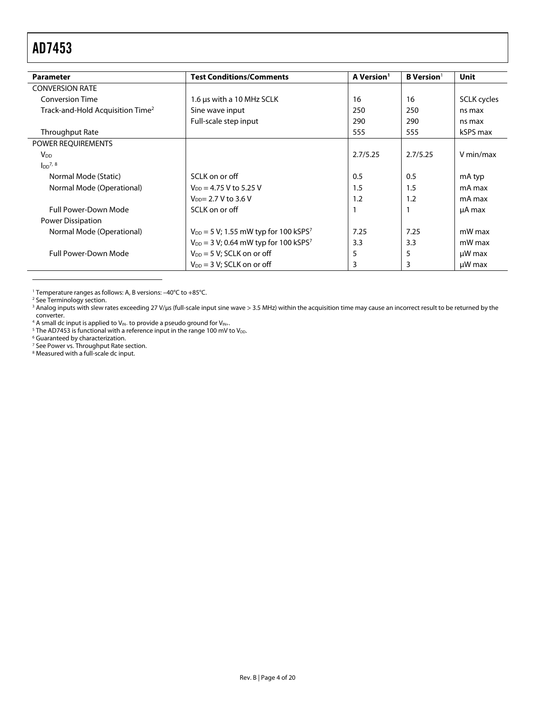<span id="page-3-7"></span>

| <b>Parameter</b>                             | <b>Test Conditions/Comments</b>                        | A Version <sup>1</sup> | <b>B</b> Version <sup>1</sup> | <b>Unit</b> |
|----------------------------------------------|--------------------------------------------------------|------------------------|-------------------------------|-------------|
| <b>CONVERSION RATE</b>                       |                                                        |                        |                               |             |
| <b>Conversion Time</b>                       | 1.6 µs with a 10 MHz SCLK                              | 16                     | 16                            | SCLK cycles |
| Track-and-Hold Acquisition Time <sup>2</sup> | Sine wave input                                        | 250                    | 250                           | ns max      |
|                                              | Full-scale step input                                  | 290                    | 290                           | ns max      |
| Throughput Rate                              |                                                        | 555                    | 555                           | kSPS max    |
| POWER REQUIREMENTS                           |                                                        |                        |                               |             |
| <b>V<sub>DD</sub></b>                        |                                                        | 2.7/5.25               | 2.7/5.25                      | V min/max   |
| $I_{DD}^{7, 8}$                              |                                                        |                        |                               |             |
| Normal Mode (Static)                         | SCLK on or off                                         | 0.5                    | 0.5                           | mA typ      |
| Normal Mode (Operational)                    | $V_{DD} = 4.75 V$ to 5.25 V                            | 1.5                    | 1.5                           | mA max      |
|                                              | $V_{DD} = 2.7 V to 3.6 V$                              | 1.2                    | 1.2                           | mA max      |
| <b>Full Power-Down Mode</b>                  | SCLK on or off                                         |                        |                               | µA max      |
| Power Dissipation                            |                                                        |                        |                               |             |
| Normal Mode (Operational)                    | $V_{DD} = 5 V$ ; 1.55 mW typ for 100 kSPS <sup>7</sup> | 7.25                   | 7.25                          | mW max      |
|                                              | $V_{DD} = 3 V$ ; 0.64 mW typ for 100 kSPS <sup>7</sup> | 3.3                    | 3.3                           | mW max      |
| <b>Full Power-Down Mode</b>                  | $V_{DD} = 5 V$ ; SCLK on or off                        | 5                      | 5                             | $\mu$ W max |
|                                              | $V_{DD} = 3 V$ ; SCLK on or off                        | 3                      | 3                             | $\mu$ W max |

<span id="page-3-1"></span>1 Temperature ranges as follows: A, B versions: –40°C to +85°C.

<sup>2</sup> See Terminology section.

 $\overline{a}$ 

<span id="page-3-3"></span><span id="page-3-2"></span><sup>2</sup> See Terminology section.<br><sup>3</sup> Analog inputs with slew rates exceeding 27 V/µs (full-scale input sine wave > 3.5 MHz) within the acquisition time may cause an incorrect result to be returned by the converter.

<span id="page-3-4"></span> $^4$  A small dc input is applied to V<sub>IN</sub>. to provide a pseudo ground for V<sub>IN+</sub>.<br><sup>5</sup> The AD7453 is functional with a reference input in the range 100 mV t

<span id="page-3-5"></span><sup>5</sup> The AD7453 is functional with a reference input in the range 100 mV to  $V_{DD}$ .

<span id="page-3-8"></span>

<span id="page-3-6"></span><sup>6</sup> Guaranteed by characterization.<br><sup>7</sup> See Power vs. Throughput Rate section.<br><sup>8</sup> Measured with a full-scale do input

<span id="page-3-9"></span><span id="page-3-0"></span><sup>8</sup> Measured with a full-scale dc input.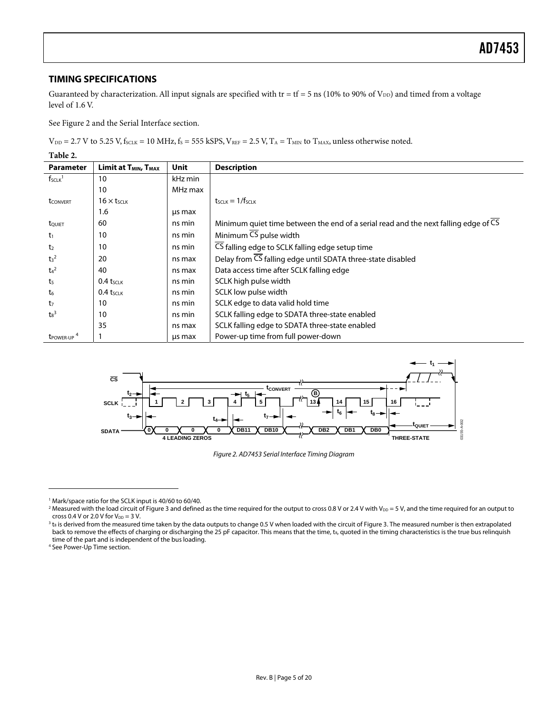#### <span id="page-4-7"></span><span id="page-4-0"></span>**TIMING SPECIFICATIONS**

Guaranteed by characterization. All input signals are specified with tr = tf = 5 ns (10% to 90% of  $V_{DD}$ ) and timed from a voltage level of 1.6 V.

See [Figure 2 a](#page-4-1)nd the Serial [Interface s](#page-12-1)ection.

 $V_{DD}$  = 2.7 V to 5.25 V, f<sub>SCLK</sub> = 10 MHz, f<sub>S</sub> = 555 kSPS,  $V_{REF}$  = 2.5 V, T<sub>A</sub> = T<sub>MIN</sub> to T<sub>MAX</sub>, unless otherwise noted.

**Table 2.** 

<span id="page-4-2"></span>

| <b>Parameter</b>            | Limit at T <sub>MIN</sub> , T <sub>MAX</sub> | <b>Unit</b> | <b>Description</b>                                                                  |
|-----------------------------|----------------------------------------------|-------------|-------------------------------------------------------------------------------------|
| $f_{SCLK}$ <sup>1</sup>     | 10                                           | kHz min     |                                                                                     |
|                             | 10                                           | MHz max     |                                                                                     |
| <b>t</b> CONVERT            | $16 \times t$ <sub>SCLK</sub>                |             | $t$ <sub>SCLK</sub> $=$ 1/f <sub>SCLK</sub>                                         |
|                             | 1.6                                          | us max      |                                                                                     |
| tQUIET                      | 60                                           | ns min      | Minimum quiet time between the end of a serial read and the next falling edge of CS |
| $t_1$                       | 10                                           | ns min      | Minimum $\overline{\text{CS}}$ pulse width                                          |
| t <sub>2</sub>              | 10                                           | ns min      | CS falling edge to SCLK falling edge setup time                                     |
| t <sub>3</sub> <sup>2</sup> | 20                                           | ns max      | Delay from CS falling edge until SDATA three-state disabled                         |
| $t_4^2$                     | 40                                           | ns max      | Data access time after SCLK falling edge                                            |
| t <sub>5</sub>              | $0.4$ tsclk                                  | ns min      | SCLK high pulse width                                                               |
| $t_6$                       | $0.4$ tsclk                                  | ns min      | SCLK low pulse width                                                                |
| t <sub>7</sub>              | 10                                           | ns min      | SCLK edge to data valid hold time                                                   |
| $\text{ts}^3$               | 10                                           | ns min      | SCLK falling edge to SDATA three-state enabled                                      |
|                             | 35                                           | ns max      | SCLK falling edge to SDATA three-state enabled                                      |
| t <sub>POWER-UP</sub>       |                                              | us max      | Power-up time from full power-down                                                  |



<span id="page-4-1"></span>Figure 2. AD7453 Serial Interface Timing Diagram

 $\overline{a}$ 

<span id="page-4-3"></span><sup>&</sup>lt;sup>1</sup> Mark/space ratio for the SCLK input is 40/60 to 60/40.<br><sup>2</sup> Measured with the load circuit of Figure 3 and definer

<span id="page-4-4"></span>Measured with the load circuit of Figure 3 and defined as the time required for the output to cross 0.8 V or 2.4 V with  $V_{DD} = 5 V$ , and the time required for an output to cross 0.4 V or 2.0 V for  $V_{DD} = 3$  V.

<span id="page-4-5"></span> $^3$  t<sub>8</sub> is derived from the measured time taken by the data outputs to change 0.5 V when loaded with the circuit of Figure 3. The measured number is then extrapolated back to remove the effects of charging or discharging the 25 pF capacitor. This means that the time, t<sub>8</sub>, quoted in the timing characteristics is the true bus relinquish time of the part and is independent of the bus loading. 4

<span id="page-4-6"></span><sup>&</sup>lt;sup>4</sup> See Power-Up Time section.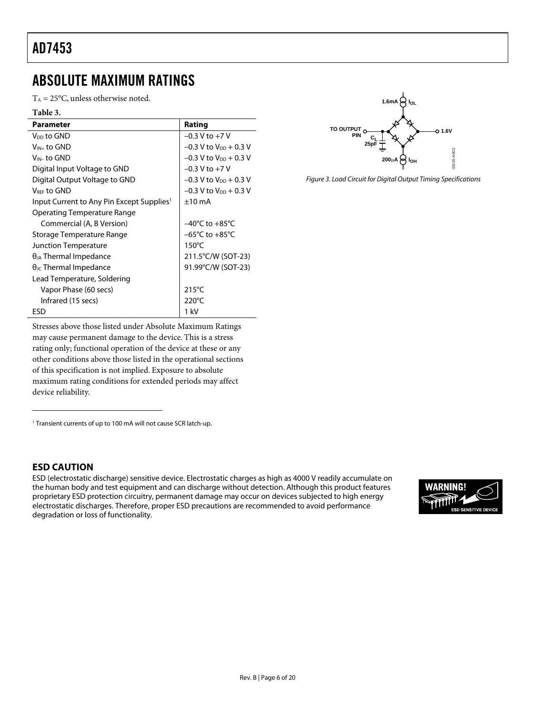### <span id="page-5-0"></span>ABSOLUTE MAXIMUM RATINGS

 $T_A = 25$ °C, unless otherwise noted.

| Table 3.                                              |                                     |
|-------------------------------------------------------|-------------------------------------|
| <b>Parameter</b>                                      | Rating                              |
| V <sub>DD</sub> to GND                                | $-0.3$ V to $+7$ V                  |
| $V_{IN+}$ to GND                                      | $-0.3$ V to $V_{DD}$ + 0.3 V        |
| $V_{IN}$ - to GND                                     | $-0.3$ V to $V_{DD}$ + 0.3 V        |
| Digital Input Voltage to GND                          | $-0.3$ V to $+7$ V                  |
| Digital Output Voltage to GND                         | $-0.3$ V to V <sub>DD</sub> + 0.3 V |
| VREE to GND                                           | $-0.3$ V to V <sub>DD</sub> + 0.3 V |
| Input Current to Any Pin Except Supplies <sup>1</sup> | $±10$ mA                            |
| Operating Temperature Range                           |                                     |
| Commercial (A, B Version)                             | $-40^{\circ}$ C to $+85^{\circ}$ C  |
| Storage Temperature Range                             | $-65^{\circ}$ C to $+85^{\circ}$ C  |
| <b>Junction Temperature</b>                           | $150^{\circ}$ C                     |
| $\theta_{JA}$ Thermal Impedance                       | 211.5°C/W (SOT-23)                  |
| $\theta_{\text{JC}}$ Thermal Impedance                | 91.99°C/W (SOT-23)                  |
| Lead Temperature, Soldering                           |                                     |
| Vapor Phase (60 secs)                                 | $215^{\circ}$ C                     |
| Infrared (15 secs)                                    | $220^{\circ}$ C                     |
| ESD                                                   | 1 kV                                |



Figure 3. Load Circuit for Digital Output Timing Specifications

Stresses above those listed under Absolute Maximum Ratings may cause permanent damage to the device. This is a stress rating only; functional operation of the device at these or any other conditions above those listed in the operational sections of this specification is not implied. Exposure to absolute maximum rating conditions for extended periods may affect device reliability.

<span id="page-5-1"></span><sup>1</sup> Transient currents of up to 100 mA will not cause SCR latch-up.

#### **ESD CAUTION**

 $\overline{a}$ 

ESD (electrostatic discharge) sensitive device. Electrostatic charges as high as 4000 V readily accumulate on the human body and test equipment and can discharge without detection. Although this product features proprietary ESD protection circuitry, permanent damage may occur on devices subjected to high energy electrostatic discharges. Therefore, proper ESD precautions are recommended to avoid performance degradation or loss of functionality.

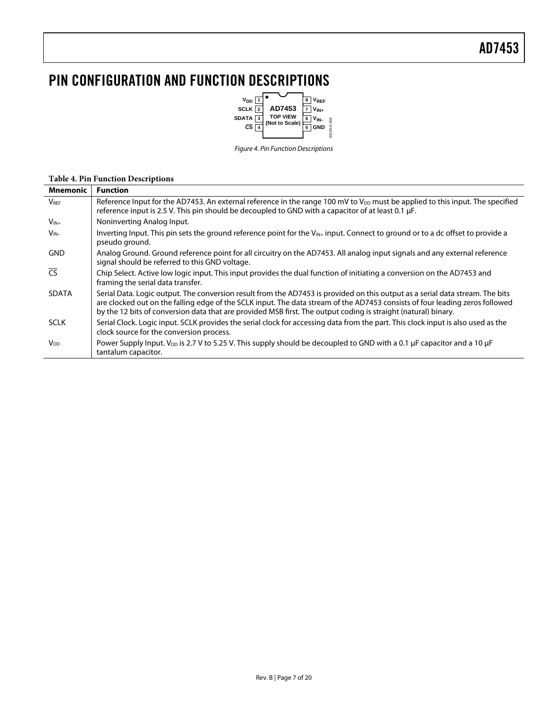### <span id="page-6-0"></span>PIN CONFIGURATION AND FUNCTION DESCRIPTIONS



Figure 4. Pin Function Descriptions

#### **Table 4. Pin Function Descriptions**

| Mnemonic                 | <b>Function</b>                                                                                                                                                                                                                                                                                                                                                                 |
|--------------------------|---------------------------------------------------------------------------------------------------------------------------------------------------------------------------------------------------------------------------------------------------------------------------------------------------------------------------------------------------------------------------------|
| <b>V</b> <sub>REF</sub>  | Reference Input for the AD7453. An external reference in the range 100 mV to V <sub>DD</sub> must be applied to this input. The specified<br>reference input is 2.5 V. This pin should be decoupled to GND with a capacitor of at least 0.1 µF.                                                                                                                                 |
| $V_{IN+}$                | Noninverting Analog Input.                                                                                                                                                                                                                                                                                                                                                      |
| $V_{IN-}$                | Inverting Input. This pin sets the ground reference point for the V <sub>IN+</sub> input. Connect to ground or to a dc offset to provide a<br>pseudo ground.                                                                                                                                                                                                                    |
| <b>GND</b>               | Analog Ground. Ground reference point for all circuitry on the AD7453. All analog input signals and any external reference<br>signal should be referred to this GND voltage.                                                                                                                                                                                                    |
| $\overline{\mathsf{CS}}$ | Chip Select. Active low logic input. This input provides the dual function of initiating a conversion on the AD7453 and<br>framing the serial data transfer.                                                                                                                                                                                                                    |
| <b>SDATA</b>             | Serial Data, Logic output. The conversion result from the AD7453 is provided on this output as a serial data stream. The bits<br>are clocked out on the falling edge of the SCLK input. The data stream of the AD7453 consists of four leading zeros followed<br>by the 12 bits of conversion data that are provided MSB first. The output coding is straight (natural) binary. |
| <b>SCLK</b>              | Serial Clock. Logic input. SCLK provides the serial clock for accessing data from the part. This clock input is also used as the<br>clock source for the conversion process.                                                                                                                                                                                                    |
| <b>V<sub>DD</sub></b>    | Power Supply Input. $V_{\text{DD}}$ is 2.7 V to 5.25 V. This supply should be decoupled to GND with a 0.1 µF capacitor and a 10 µF<br>tantalum capacitor.                                                                                                                                                                                                                       |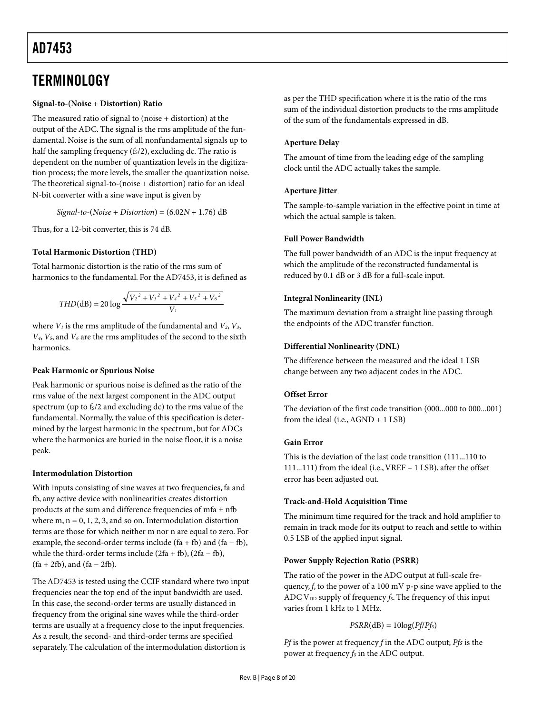### <span id="page-7-0"></span>**TERMINOLOGY**

#### **Signal-to-(Noise + Distortion) Ratio**

The measured ratio of signal to (noise + distortion) at the output of the ADC. The signal is the rms amplitude of the fundamental. Noise is the sum of all nonfundamental signals up to half the sampling frequency  $(f<sub>s</sub>/2)$ , excluding dc. The ratio is dependent on the number of quantization levels in the digitization process; the more levels, the smaller the quantization noise. The theoretical signal-to-(noise + distortion) ratio for an ideal N-bit converter with a sine wave input is given by

*Signal*-*to*-(*Noise* + *Distortion*) = (6.02*N* + 1.76) dB

Thus, for a 12-bit converter, this is 74 dB.

#### **Total Harmonic Distortion (THD)**

Total harmonic distortion is the ratio of the rms sum of harmonics to the fundamental. For the AD7453, it is defined as

$$
THD(dB) = 20 \log \frac{\sqrt{{V_2}^2 + {V_3}^2 + {V_4}^2 + {V_5}^2 + {V_6}^2}}{V_1}
$$

where  $V_1$  is the rms amplitude of the fundamental and  $V_2$ ,  $V_3$ , *V4*, *V5*, and *V6* are the rms amplitudes of the second to the sixth harmonics.

#### **Peak Harmonic or Spurious Noise**

Peak harmonic or spurious noise is defined as the ratio of the rms value of the next largest component in the ADC output spectrum (up to fs/2 and excluding dc) to the rms value of the fundamental. Normally, the value of this specification is determined by the largest harmonic in the spectrum, but for ADCs where the harmonics are buried in the noise floor, it is a noise peak.

#### **Intermodulation Distortion**

With inputs consisting of sine waves at two frequencies, fa and fb, any active device with nonlinearities creates distortion products at the sum and difference frequencies of mfa  $\pm$  nfb where  $m, n = 0, 1, 2, 3,$  and so on. Intermodulation distortion terms are those for which neither m nor n are equal to zero. For example, the second-order terms include  $(fa + fb)$  and  $(fa - fb)$ , while the third-order terms include  $(2fa + fb)$ ,  $(2fa - fb)$ ,  $(fa + 2fb)$ , and  $(fa - 2fb)$ .

The AD7453 is tested using the CCIF standard where two input frequencies near the top end of the input bandwidth are used. In this case, the second-order terms are usually distanced in frequency from the original sine waves while the third-order terms are usually at a frequency close to the input frequencies. As a result, the second- and third-order terms are specified separately. The calculation of the intermodulation distortion is

as per the THD specification where it is the ratio of the rms sum of the individual distortion products to the rms amplitude of the sum of the fundamentals expressed in dB.

#### **Aperture Delay**

The amount of time from the leading edge of the sampling clock until the ADC actually takes the sample.

#### **Aperture Jitter**

The sample-to-sample variation in the effective point in time at which the actual sample is taken.

#### **Full Power Bandwidth**

The full power bandwidth of an ADC is the input frequency at which the amplitude of the reconstructed fundamental is reduced by 0.1 dB or 3 dB for a full-scale input.

#### **Integral Nonlinearity (INL)**

The maximum deviation from a straight line passing through the endpoints of the ADC transfer function.

#### **Differential Nonlinearity (DNL)**

The difference between the measured and the ideal 1 LSB change between any two adjacent codes in the ADC.

#### **Offset Error**

The deviation of the first code transition (000...000 to 000...001) from the ideal (i.e.,AGND + 1 LSB)

#### **Gain Error**

This is the deviation of the last code transition (111...110 to 111...111) from the ideal (i.e.,VREF – 1 LSB), after the offset error has been adjusted out.

#### **Track-and-Hold Acquisition Time**

The minimum time required for the track and hold amplifier to remain in track mode for its output to reach and settle to within 0.5 LSB of the applied input signal.

#### **Power Supply Rejection Ratio (PSRR)**

The ratio of the power in the ADC output at full-scale frequency, *f*, to the power of a 100 mV p-p sine wave applied to the ADC V<sub>DD</sub> supply of frequency *f<sub>S</sub>*. The frequency of this input varies from 1 kHz to 1 MHz.

#### $PSRR(dB) = 10log(Pf/Pf<sub>S</sub>)$

*Pf* is the power at frequency *f* in the ADC output; *Pfs* is the power at frequency  $f_S$  in the ADC output.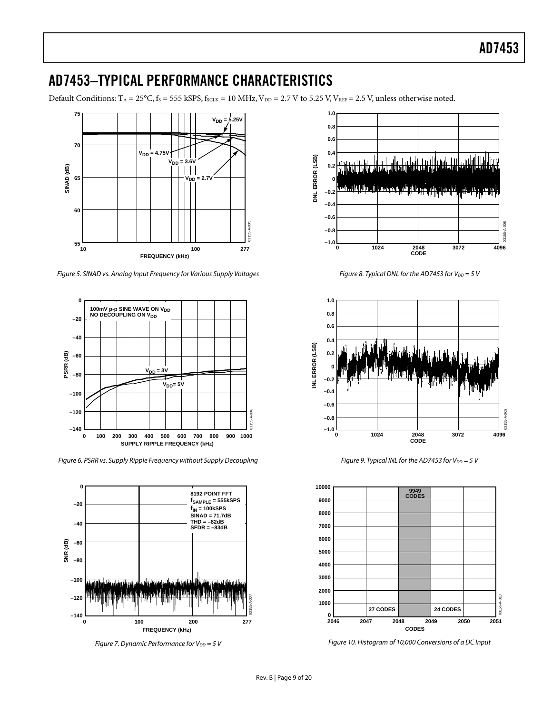### <span id="page-8-0"></span>AD7453–TYPICAL PERFORMANCE CHARACTERISTICS

Default Conditions:  $T_A = 25^{\circ}$ C,  $f_S = 555$  kSPS,  $f_{SCLK} = 10$  MHz,  $V_{DD} = 2.7$  V to 5.25 V,  $V_{REF} = 2.5$  V, unless otherwise noted.



Figure 5. SINAD vs. Analog Input Frequency for Various Supply Voltages



Figure 6. PSRR vs. Supply Ripple Frequency without Supply Decoupling



Figure 7. Dynamic Performance for  $V_{DD} = 5 V$ 



Figure 8. Typical DNL for the AD7453 for  $V_{DD} = 5 V$ 



Figure 9. Typical INL for the AD7453 for  $V_{DD} = 5$  V



Figure 10. Histogram of 10,000 Conversions of a DC Input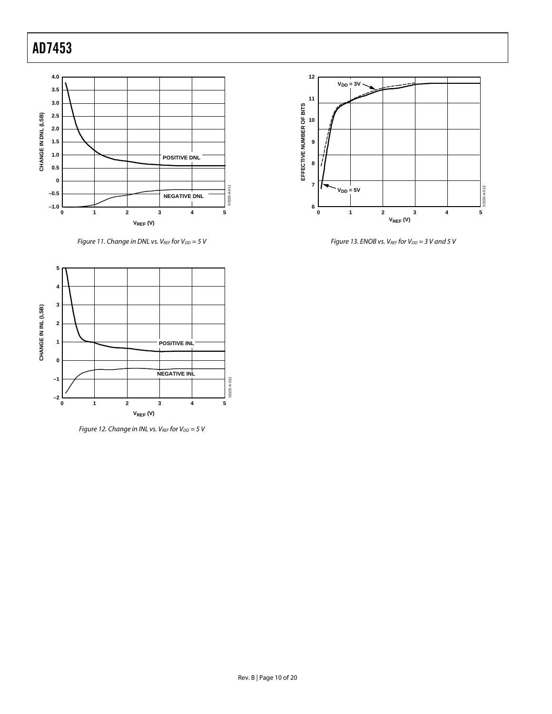

Figure 11. Change in DNL vs.  $V_{REF}$  for  $V_{DD} = 5 V$ 



Figure 12. Change in INL vs. VREF for  $V_{DD} = 5$  V



Figure 13. ENOB vs.  $V_{REF}$  for  $V_{DD} = 3$  V and 5 V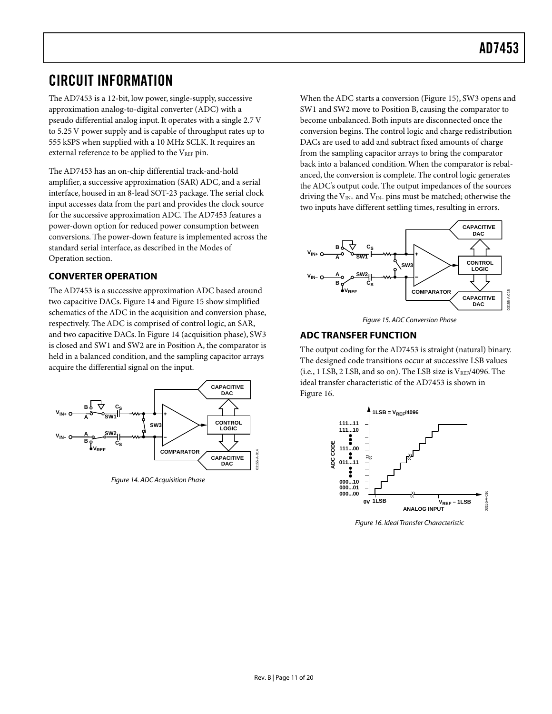### <span id="page-10-0"></span>CIRCUIT INFORMATION

The AD7453 is a 12-bit, low power, single-supply, successive approximation analog-to-digital converter (ADC) with a pseudo differential analog input. It operates with a single 2.7 V to 5.25 V power supply and is capable of throughput rates up to 555 kSPS when supplied with a 10 MHz SCLK. It requires an external reference to be applied to the  $V_{REF}$  pin.

The AD7453 has an on-chip differential track-and-hold amplifier, a successive approximation (SAR) ADC, and a serial interface, housed in an 8-lead SOT-23 package. The serial clock input accesses data from the part and provides the clock source for the successive approximation ADC. The AD7453 features a power-down option for reduced power consumption between conversions. The power-down feature is implemented across the standard serial interface, as described in the [Modes of](#page-14-1) [Operation](#page-14-1) section.

#### **CONVERTER OPERATION**

The AD7453 is a successive approximation ADC based around two capacitive DACs. [Figure 14](#page-10-1) and [Figure 15](#page-10-2) show simplified schematics of the ADC in the acquisition and conversion phase, respectively. The ADC is comprised of control logic, an SAR, and two capacitive DACs. In [Figure 14](#page-10-1) (acquisition phase), SW3 is closed and SW1 and SW2 are in Position A, the comparator is held in a balanced condition, and the sampling capacitor arrays acquire the differential signal on the input.

<span id="page-10-1"></span>

Figure 14. ADC Acquisition Phase

When the ADC starts a conversion [\(Figure 15\)](#page-10-2), SW3 opens and SW1 and SW2 move to Position B, causing the comparator to become unbalanced. Both inputs are disconnected once the conversion begins. The control logic and charge redistribution DACs are used to add and subtract fixed amounts of charge from the sampling capacitor arrays to bring the comparator back into a balanced condition.When the comparator is rebalanced, the conversion is complete. The control logic generates the ADC's output code. The output impedances of the sources driving the  $V_{IN+}$  and  $V_{IN-}$  pins must be matched; otherwise the two inputs have different settling times, resulting in errors.

<span id="page-10-2"></span>



### **ADC TRANSFER FUNCTION**

The output coding for the AD7453 is straight (natural) binary. The designed code transitions occur at successive LSB values (i.e., 1 LSB, 2 LSB, and so on). The LSB size is  $V_{REF}/4096$ . The ideal transfer characteristic of the AD7453 is shown in [Figure 16.](#page-10-3)

<span id="page-10-3"></span>

Figure 16. Ideal Transfer Characteristic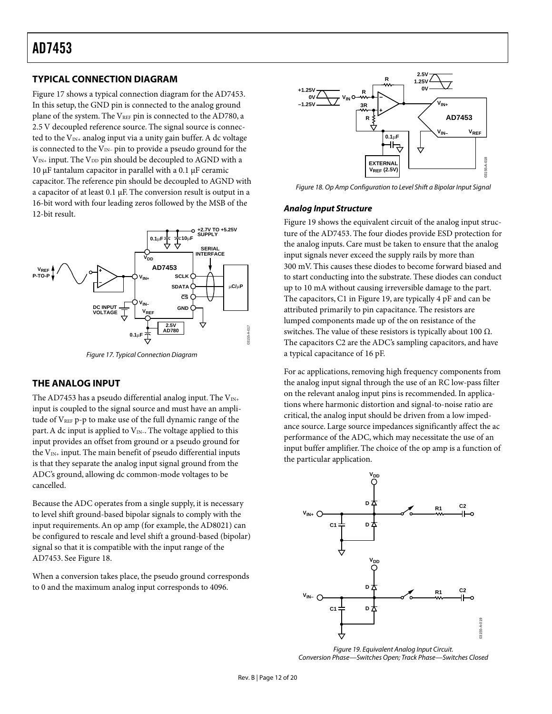#### <span id="page-11-0"></span>**TYPICAL CONNECTION DIAGRAM**

[Figure 17](#page-11-1) shows a typical connection diagram for the AD7453. In this setup, the GND pin is connected to the analog ground plane of the system. The VREF pin is connected to the AD780, a 2.5 V decoupled reference source. The signal source is connected to the  $V_{IN+}$  analog input via a unity gain buffer. A dc voltage is connected to the  $V_{IN}$ - pin to provide a pseudo ground for the  $V_{IN+}$  input. The  $V_{DD}$  pin should be decoupled to AGND with a 10  $\mu$ F tantalum capacitor in parallel with a 0.1  $\mu$ F ceramic capacitor. The reference pin should be decoupled to AGND with a capacitor of at least 0.1 µF. The conversion result is output in a 16-bit word with four leading zeros followed by the MSB of the 12-bit result.

<span id="page-11-1"></span>

Figure 17. Typical Connection Diagram

#### **THE ANALOG INPUT**

The AD7453 has a pseudo differential analog input. The  $V_{\text{IN+}}$ input is coupled to the signal source and must have an amplitude of V<sub>REF</sub> p-p to make use of the full dynamic range of the part. A dc input is applied to  $V_{IN}$ . The voltage applied to this input provides an offset from ground or a pseudo ground for the  $V_{IN+}$  input. The main benefit of pseudo differential inputs is that they separate the analog input signal ground from the ADC's ground, allowing dc common-mode voltages to be cancelled.

Because the ADC operates from a single supply, it is necessary to level shift ground-based bipolar signals to comply with the input requirements.An op amp (for example, the AD8021) can be configured to rescale and level shift a ground-based (bipolar) signal so that it is compatible with the input range of the AD7453. See [Figure 18.](#page-11-2)

When a conversion takes place, the pseudo ground corresponds to 0 and the maximum analog input corresponds to 4096.

<span id="page-11-2"></span>

Figure 18. Op Amp Configuration to Level Shift a Bipolar Input Signal

#### **Analog Input Structure**

[Figure 19](#page-11-3) shows the equivalent circuit of the analog input structure of the AD7453. The four diodes provide ESD protection for the analog inputs. Care must be taken to ensure that the analog input signals never exceed the supply rails by more than 300 mV. This causes these diodes to become forward biased and to start conducting into the substrate. These diodes can conduct up to 10 mA without causing irreversible damage to the part. The capacitors, C1 in [Figure 19,](#page-11-3) are typically 4 pF and can be attributed primarily to pin capacitance. The resistors are lumped components made up of the on resistance of the switches. The value of these resistors is typically about 100  $Ω$ . The capacitors C2 are the ADC's sampling capacitors, and have a typical capacitance of 16 pF.

For ac applications, removing high frequency components from the analog input signal through the use of an RC low-pass filter on the relevant analog input pins is recommended. In applications where harmonic distortion and signal-to-noise ratio are critical, the analog input should be driven from a low impedance source. Large source impedances significantly affect the ac performance of the ADC, which may necessitate the use of an input buffer amplifier. The choice of the op amp is a function of the particular application.

<span id="page-11-3"></span>

Figure 19. Equivalent Analog Input Circuit. Conversion Phase—Switches Open; Track Phase—Switches Closed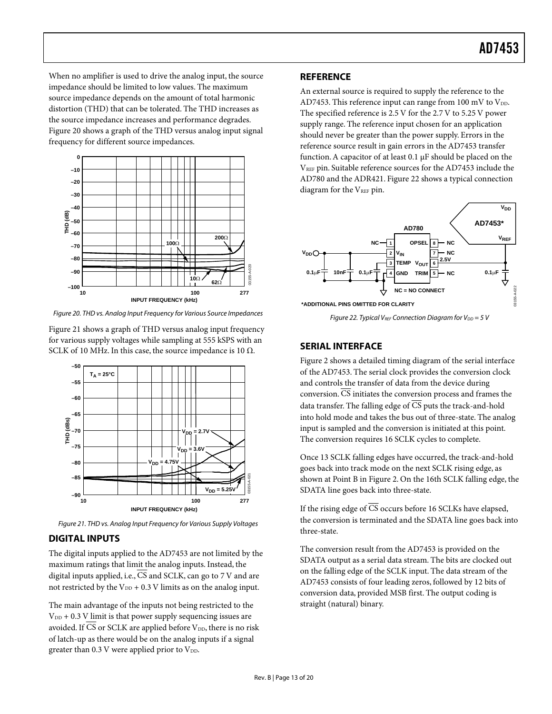<span id="page-12-0"></span>When no amplifier is used to drive the analog input, the source impedance should be limited to low values. The maximum source impedance depends on the amount of total harmonic distortion (THD) that can be tolerated. The THD increases as the source impedance increases and performance degrades. [Figure 20](#page-12-2) shows a graph of the THD versus analog input signal frequency for different source impedances.

<span id="page-12-2"></span>

Figure 20. THD vs. Analog Input Frequency for Various Source Impedances

[Figure 21](#page-12-3) shows a graph of THD versus analog input frequency for various supply voltages while sampling at 555 kSPS with an SCLK of 10 MHz. In this case, the source impedance is 10  $\Omega$ .

<span id="page-12-3"></span>

Figure 21. THD vs. Analog Input Frequency for Various Supply Voltages

#### **DIGITAL INPUTS**

The digital inputs applied to the AD7453 are not limited by the maximum ratings that limit the analog inputs. Instead, the digital inputs applied, i.e., CS and SCLK, can go to 7 V and are not restricted by the  $V_{DD}$  + 0.3 V limits as on the analog input.

The main advantage of the inputs not being restricted to the  $V_{DD}$  + 0.3 V limit is that power supply sequencing issues are avoided. If  $\overline{\text{CS}}$  or SCLK are applied before V<sub>DD</sub>, there is no risk of latch-up as there would be on the analog inputs if a signal greater than  $0.3$  V were applied prior to  $V_{DD}$ .

#### **REFERENCE**

An external source is required to supply the reference to the AD7453. This reference input can range from 100 mV to  $V_{DD}$ . The specified reference is 2.5 V for the 2.7 V to 5.25 V power supply range. The reference input chosen for an application should never be greater than the power supply. Errors in the reference source result in gain errors in the AD7453 transfer function.A capacitor of at least 0.1 µF should be placed on the VREF pin. Suitable reference sources for the AD7453 include the AD780 and the ADR421. [Figure 22](#page-12-4) shows a typical connection diagram for the VREF pin.

<span id="page-12-4"></span>

Figure 22. Typical VREF Connection Diagram for  $V_{DD} = 5$  V

#### <span id="page-12-1"></span>**SERIAL INTERFACE**

[Figure 2](#page-4-1) shows a detailed timing diagram of the serial interface of the AD7453. The serial clock provides the conversion clock and controls the transfer of data from the device during conversion.  $\overline{\text{CS}}$  initiates the conversion process and frames the data transfer. The falling edge of CS puts the track-and-hold into hold mode and takes the bus out of three-state. The analog input is sampled and the conversion is initiated at this point. The conversion requires 16 SCLK cycles to complete.

Once 13 SCLK falling edges have occurred, the track-and-hold goes back into track mode on the next SCLK rising edge, as shown at Point B in [Figure 2.](#page-4-1) On the 16th SCLK falling edge, the SDATA line goes back into three-state.

If the rising edge of CS occurs before 16 SCLKs have elapsed, the conversion is terminated and the SDATA line goes back into three-state.

The conversion result from the AD7453 is provided on the SDATA output as a serial data stream. The bits are clocked out on the falling edge of the SCLK input. The data stream of the AD7453 consists of four leading zeros, followed by 12 bits of conversion data, provided MSB first. The output coding is straight (natural) binary.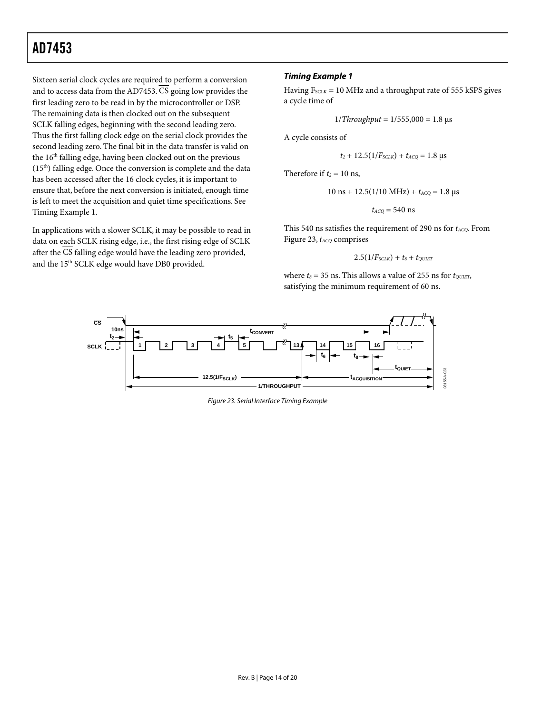**Timing Example 1** Sixteen serial clock cycles are required to perform a conversion and to access data from the AD7453.  $\overline{\text{CS}}$  going low provides the first leading zero to be read in by the microcontroller or DSP. The remaining data is then clocked out on the subsequent SCLK falling edges, beginning with the second leading zero. Thus the first falling clock edge on the serial clock provides the second leading zero. The final bit in the data transfer is valid on the 16<sup>th</sup> falling edge, having been clocked out on the previous (15<sup>th</sup>) falling edge. Once the conversion is complete and the data has been accessed after the 16 clock cycles, it is important to ensure that, before the next conversion is initiated, enough time is left to meet the acquisition and quiet time specifications. See [Timing Example 1.](#page-13-0)

In applications with a slower SCLK, it may be possible to read in data on each SCLK rising edge, i.e., the first rising edge of SCLK after the  $\overline{\text{CS}}$  falling edge would have the leading zero provided, and the 15<sup>th</sup> SCLK edge would have DB0 provided.

<span id="page-13-0"></span>Having  $F_{\text{SCLK}} = 10 \text{ MHz}$  and a throughput rate of 555 kSPS gives a cycle time of

$$
1/Throught = 1/555,000 = 1.8 \text{ }\mu\text{s}
$$

A cycle consists of

$$
t_2 + 12.5(1/F_{SCLK}) + t_{ACQ} = 1.8 \text{ }\mu\text{s}
$$

Therefore if  $t_2 = 10$  ns,

$$
10 \text{ ns} + 12.5(1/10 \text{ MHz}) + t_{ACQ} = 1.8 \text{ \textmu s}
$$

 $t_{ACO}$  = 540 ns

This 540 ns satisfies the requirement of 290 ns for *tACQ*. From [Figure 23,](#page-13-1) *t<sub>ACQ</sub>* comprises

$$
2.5(1/F_{SCLK}) + t_8 + t_{QUIET}
$$

<span id="page-13-1"></span>where  $t_8 = 35$  ns. This allows a value of 255 ns for  $t_{\text{QUIET}}$ , satisfying the minimum requirement of 60 ns.



Figure 23. Serial Interface Timing Example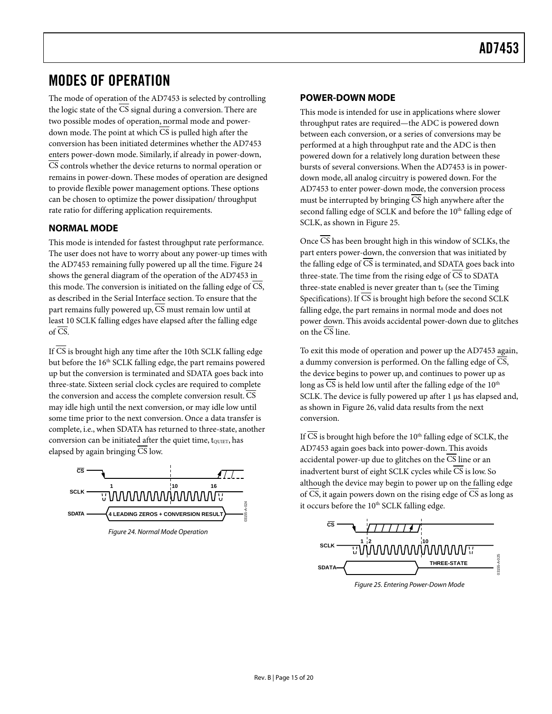### <span id="page-14-1"></span><span id="page-14-0"></span>MODES OF OPERATION

The mode of operation of the AD7453 is selected by controlling the logic state of the CS signal during a conversion. There are two possible modes of operation, normal mode and powerdown mode. The point at which CS is pulled high after the conversion has been initiated determines whether the AD7453 enters power-down mode. Similarly, if already in power-down, CS controls whether the device returns to normal operation or remains in power-down. These modes of operation are designed to provide flexible power management options. These options can be chosen to optimize the power dissipation/ throughput rate ratio for differing application requirements.

#### **NORMAL MODE**

This mode is intended for fastest throughput rate performance. The user does not have to worry about any power-up times with the AD7453 remaining fully powered up all the time. [Figure 24](#page-14-2) shows the general diagram of the operation of the AD7453 in this mode. The conversion is initiated on the falling edge of CS, as described in the Serial Interface section. To ensure that the part remains fully powered up,  $\overline{CS}$  must remain low until at least 10 SCLK falling edges have elapsed after the falling edge of  $\overline{\text{CS}}$ .

If CS is brought high any time after the 10th SCLK falling edge but before the 16<sup>th</sup> SCLK falling edge, the part remains powered up but the conversion is terminated and SDATA goes back into three-state. Sixteen serial clock cycles are required to complete the conversion and access the complete conversion result. CS may idle high until the next conversion, or may idle low until some time prior to the next conversion. Once a data transfer is complete, i.e., when SDATA has returned to three-state, another conversion can be initiated after the quiet time, to ULET, has elapsed by again bringing CS low.

<span id="page-14-2"></span>

Figure 24. Normal Mode Operation

#### **POWER-DOWN MODE**

This mode is intended for use in applications where slower throughput rates are required—the ADC is powered down between each conversion, or a series of conversions may be performed at a high throughput rate and the ADC is then powered down for a relatively long duration between these bursts of several conversions.When the AD7453 is in powerdown mode, all analog circuitry is powered down. For the AD7453 to enter power-down mode, the conversion process must be interrupted by bringing CS high anywhere after the second falling edge of SCLK and before the 10<sup>th</sup> falling edge of SCLK, as shown in [Figure 25.](#page-14-3)

Once CS has been brought high in this window of SCLKs, the part enters power-down, the conversion that was initiated by the falling edge of CS is terminated, and SDATA goes back into three-state. The time from the rising edge of  $\overline{CS}$  to SDATA three-state enabled is never greater than t<sub>8</sub> (see the [Timing](#page-4-7) [Specifications\)](#page-4-7). If CS is brought high before the second SCLK falling edge, the part remains in normal mode and does not power down. This avoids accidental power-down due to glitches on the  $\overline{\text{CS}}$  line.

To exit this mode of operation and power up the AD7453 again, a dummy conversion is performed. On the falling edge of CS, the device begins to power up, and continues to power up as long as  $\overline{CS}$  is held low until after the falling edge of the 10<sup>th</sup> SCLK. The device is fully powered up after 1 µs has elapsed and, as shown in [Figure 26,](#page-15-1) valid data results from the next conversion.

If  $\overline{CS}$  is brought high before the 10<sup>th</sup> falling edge of SCLK, the AD7453 again goes back into power-down. This avoids accidental power-up due to glitches on the CS line or an inadvertent burst of eight SCLK cycles while  $\overline{\text{CS}}$  is low. So although the device may begin to power up on the falling edge of  $\overline{CS}$ , it again powers down on the rising edge of  $\overline{CS}$  as long as it occurs before the 10<sup>th</sup> SCLK falling edge.

<span id="page-14-3"></span>

Figure 25. Entering Power-Down Mode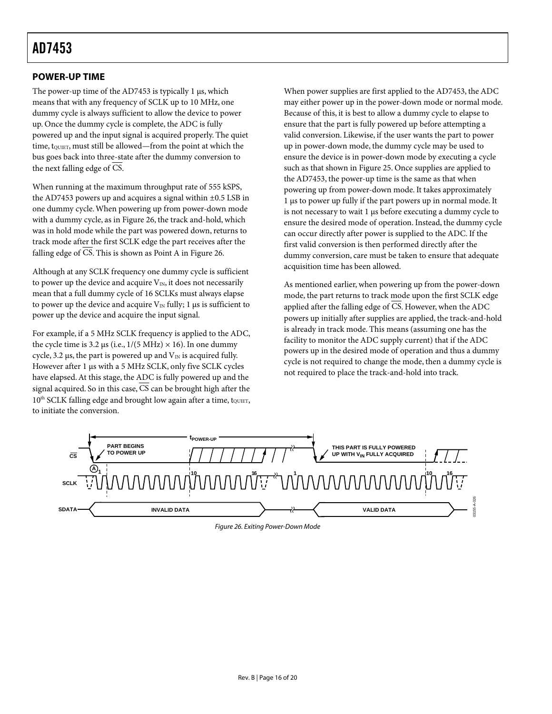#### <span id="page-15-0"></span>**POWER-UP TIME**

The power-up time of the AD7453 is typically 1  $\mu$ s, which means that with any frequency of SCLK up to 10 MHz, one dummy cycle is always sufficient to allow the device to power up. Once the dummy cycle is complete, the ADC is fully powered up and the input signal is acquired properly. The quiet time, tourer, must still be allowed—from the point at which the bus goes back into three-state after the dummy conversion to the next falling edge of CS.

When running at the maximum throughput rate of 555 kSPS, the AD7453 powers up and acquires a signal within ±0.5 LSB in one dummy cycle.When powering up from power-down mode with a dummy cycle, as in [Figure 26,](#page-15-1) the track and-hold, which was in hold mode while the part was powered down, returns to track mode after the first SCLK edge the part receives after the falling edge of  $\overline{CS}$ . This is shown as Point A in [Figure 26.](#page-15-1)

Although at any SCLK frequency one dummy cycle is sufficient to power up the device and acquire  $V_{IN}$ , it does not necessarily mean that a full dummy cycle of 16 SCLKs must always elapse to power up the device and acquire  $V_{\text{IN}}$  fully; 1 µs is sufficient to power up the device and acquire the input signal.

For example, if a 5 MHz SCLK frequency is applied to the ADC, the cycle time is 3.2  $\mu$ s (i.e., 1/(5 MHz)  $\times$  16). In one dummy cycle, 3.2  $\mu$ s, the part is powered up and  $V_{\text{IN}}$  is acquired fully. However after 1 µs with a 5 MHz SCLK, only five SCLK cycles have elapsed.At this stage, the ADC is fully powered up and the signal acquired. So in this case, CS can be brought high after the 10<sup>th</sup> SCLK falling edge and brought low again after a time, t<sub>QUIET</sub>, to initiate the conversion.

When power supplies are first applied to the AD7453, the ADC may either power up in the power-down mode or normal mode. Because of this, it is best to allow a dummy cycle to elapse to ensure that the part is fully powered up before attempting a valid conversion. Likewise, if the user wants the part to power up in power-down mode, the dummy cycle may be used to ensure the device is in power-down mode by executing a cycle such as that shown in [Figure 25.](#page-14-3) Once supplies are applied to the AD7453, the power-up time is the same as that when powering up from power-down mode. It takes approximately 1 µs to power up fully if the part powers up in normal mode. It is not necessary to wait 1 µs before executing a dummy cycle to ensure the desired mode of operation. Instead, the dummy cycle can occur directly after power is supplied to the ADC. If the first valid conversion is then performed directly after the dummy conversion, care must be taken to ensure that adequate acquisition time has been allowed.

As mentioned earlier, when powering up from the power-down mode, the part returns to track mode upon the first SCLK edge applied after the falling edge of CS. However, when the ADC powers up initially after supplies are applied, the track-and-hold is already in track mode. This means (assuming one has the facility to monitor the ADC supply current) that if the ADC powers up in the desired mode of operation and thus a dummy cycle is not required to change the mode, then a dummy cycle is not required to place the track-and-hold into track.



<span id="page-15-1"></span>Figure 26. Exiting Power-Down Mode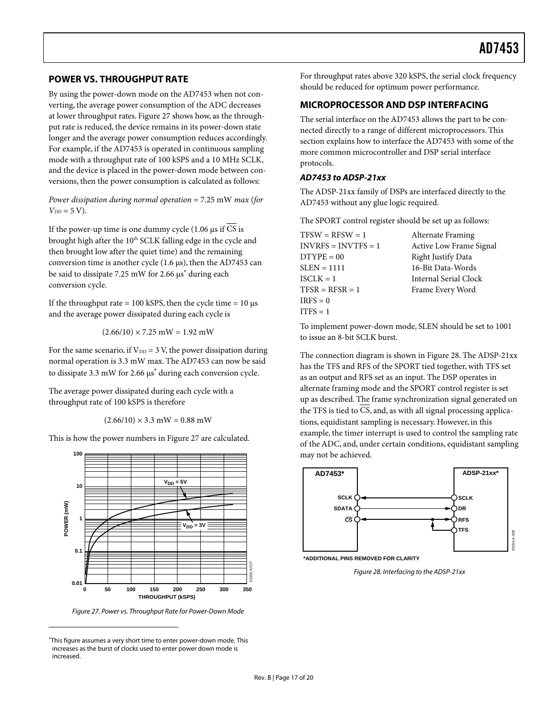#### <span id="page-16-0"></span>**POWER VS. THROUGHPUT RATE**

By using the power-down mode on the AD7453 when not converting, the average power consumption of the ADC decreases at lower throughput rates. [Figure 27](#page-16-1) shows how, as the throughput rate is reduced, the device remains in its power-down state longer and the average power consumption reduces accordingly. For example, if the AD7453 is operated in continuous sampling mode with a throughput rate of 100 kSPS and a 10 MHz SCLK, and the device is placed in the power-down mode between conversions, then the power consumption is calculated as follows:

*Power dissipation during normal operation* = 7.25 mW *max* (*for*  $V_{DD} = 5 \text{ V}$ .

If the power-up time is one dummy cycle (1.06  $\mu$ s if  $\overline{CS}$  is brought high after the 10<sup>th</sup> SCLK falling edge in the cycle and then brought low after the quiet time) and the remaining conversion time is another cycle (1.6 µs), then the AD7453 can besaid to dissipate 7.25 mW for 2.66 µs<sup>\*</sup> during each conversion cycle.

If the throughput rate = 100 kSPS, then the cycle time =  $10 \text{ }\mu\text{s}$ and the average power dissipated during each cycle is

<span id="page-16-2"></span> $(2.66/10) \times 7.25$  mW = 1.92 mW

For the same scenario, if  $V_{DD} = 3$  V, the power dissipation during normal operation is 3.3 mW max. The AD7453 can now be said todissipate 3.3 mW for 2.66 μs<sup>\*</sup> during each conversion cycle.

The average power dissipated during each cycle with a throughput rate of 100 kSPS is therefore

 $(2.66/10) \times 3.3$  mW = 0.88 mW

This is how the power numbers in [Figure 27](#page-16-1) are calculated.

<span id="page-16-1"></span>

Figure 27. Power vs. Throughput Rate for Power-Down Mode

 $\overline{a}$ 

For throughput rates above 320 kSPS, the serial clock frequency should be reduced for optimum power performance.

#### **MICROPROCESSOR AND DSP INTERFACING**

The serial interface on the AD7453 allows the part to be connected directly to a range of different microprocessors. This section explains how to interface the AD7453 with some of the more common microcontroller and DSP serial interface protocols.

#### **AD7453 to ADSP-21xx**

The ADSP-21xx family of DSPs are interfaced directly to the AD7453 without any glue logic required.

The SPORT control register should be set up as follows:

| $TFSW = RFSW = 1$     | Alternate Framing       |
|-----------------------|-------------------------|
| $INVRFS = INVTFS = 1$ | Active Low Frame Signal |
| $DTYPE = 00$          | Right Justify Data      |
| $SLEN = 1111$         | 16-Bit Data-Words       |
| $ISCI.K = 1$          | Internal Serial Clock   |
| $TFSR = RFSR = 1$     | Frame Every Word        |
| $IRFS = 0$            |                         |
| $ITFS = 1$            |                         |

To implement power-down mode, SLEN should be set to 1001 to issue an 8-bit SCLK burst.

The connection diagram is shown in [Figure 28.](#page-16-3) The ADSP-21xx has the TFS and RFS of the SPORT tied together, with TFS set as an output and RFS set as an input. The DSP operates in alternate framing mode and the SPORT control register is set up as described. The frame synchronization signal generated on the TFS is tied to CS, and, as with all signal processing applications, equidistant sampling is necessary. However, in this example, the timer interrupt is used to control the sampling rate of the ADC, and, under certain conditions, equidistant sampling may not be achieved.

<span id="page-16-3"></span>

Figure 28. Interfacing to the ADSP-21xx

<span id="page-16-4"></span><sup>∗</sup> This figure assumes a very short time to enter power-down mode. This increases as the burst of clocks used to enter power down mode is increased.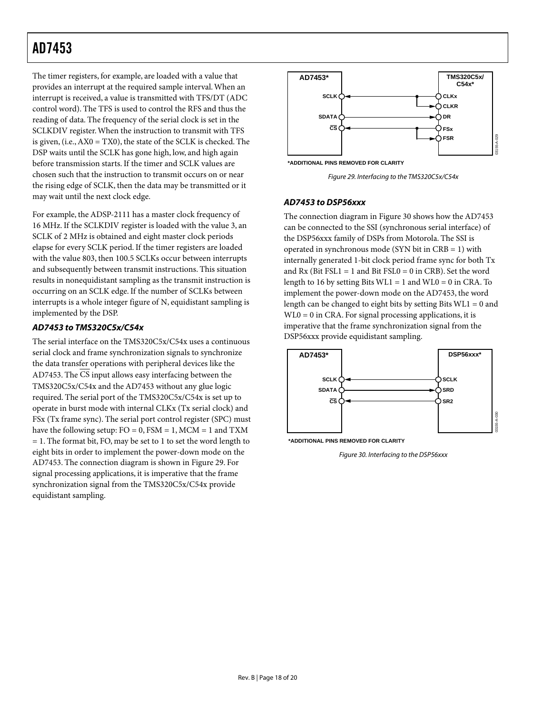The timer registers, for example, are loaded with a value that provides an interrupt at the required sample interval.When an interrupt is received, a value is transmitted with TFS/DT (ADC control word). The TFS is used to control the RFS and thus the reading of data. The frequency of the serial clock is set in the SCLKDIV register.When the instruction to transmit with TFS is given, (i.e.,AX0 = TX0), the state of the SCLK is checked. The DSP waits until the SCLK has gone high, low, and high again before transmission starts. If the timer and SCLK values are chosen such that the instruction to transmit occurs on or near the rising edge of SCLK, then the data may be transmitted or it may wait until the next clock edge.

For example, the ADSP-2111 has a master clock frequency of 16 MHz. If the SCLKDIV register is loaded with the value 3, an SCLK of 2 MHz is obtained and eight master clock periods elapse for every SCLK period. If the timer registers are loaded with the value 803, then 100.5 SCLKs occur between interrupts and subsequently between transmit instructions. This situation results in nonequidistant sampling as the transmit instruction is occurring on an SCLK edge. If the number of SCLKs between interrupts is a whole integer figure of N, equidistant sampling is implemented by the DSP.

#### **AD7453 to TMS320C5x/C54x**

The serial interface on the TMS320C5x/C54x uses a continuous serial clock and frame synchronization signals to synchronize the data transfer operations with peripheral devices like the AD7453. The CS input allows easy interfacing between the TMS320C5x/C54x and the AD7453 without any glue logic required. The serial port of the TMS320C5x/C54x is set up to operate in burst mode with internal CLKx (Tx serial clock) and FSx (Tx frame sync). The serial port control register (SPC) must have the following setup:  $FO = 0$ ,  $FSM = 1$ ,  $MCM = 1$  and  $TXM$ = 1. The format bit, FO, may be set to 1 to set the word length to eight bits in order to implement the power-down mode on the AD7453. The connection diagram is shown in [Figure 29.](#page-17-0) For signal processing applications, it is imperative that the frame synchronization signal from the TMS320C5x/C54x provide equidistant sampling.

<span id="page-17-0"></span>



Figure 29. Interfacing to the TMS320C5x/C54x

#### **AD7453 to DSP56xxx**

The connection diagram in [Figure 30](#page-17-1) shows how the AD7453 can be connected to the SSI (synchronous serial interface) of the DSP56xxx family of DSPs from Motorola. The SSI is operated in synchronous mode (SYN bit in CRB = 1) with internally generated 1-bit clock period frame sync for both Tx and  $Rx$  (Bit  $FSL1 = 1$  and Bit  $FSL0 = 0$  in CRB). Set the word length to 16 by setting Bits  $WL1 = 1$  and  $WL0 = 0$  in CRA. To implement the power-down mode on the AD7453, the word length can be changed to eight bits by setting Bits  $W<sub>L1</sub> = 0$  and  $WLO = 0$  in CRA. For signal processing applications, it is imperative that the frame synchronization signal from the DSP56xxx provide equidistant sampling.

<span id="page-17-1"></span>

Figure 30. Interfacing to the DSP56xxx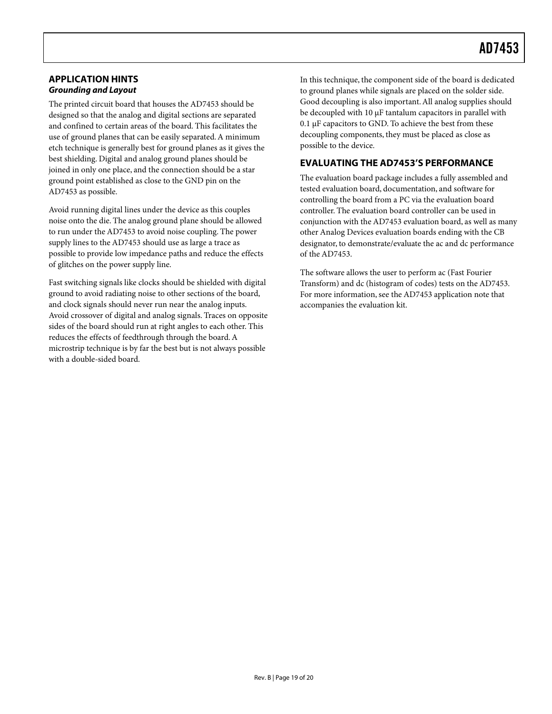#### <span id="page-18-0"></span>**APPLICATION HINTS Grounding and Layout**

The printed circuit board that houses the AD7453 should be designed so that the analog and digital sections are separated and confined to certain areas of the board. This facilitates the use of ground planes that can be easily separated. A minimum etch technique is generally best for ground planes as it gives the best shielding. Digital and analog ground planes should be joined in only one place, and the connection should be a star ground point established as close to the GND pin on the AD7453 as possible.

Avoid running digital lines under the device as this couples noise onto the die. The analog ground plane should be allowed to run under the AD7453 to avoid noise coupling. The power supply lines to the AD7453 should use as large a trace as possible to provide low impedance paths and reduce the effects of glitches on the power supply line.

Fast switching signals like clocks should be shielded with digital ground to avoid radiating noise to other sections of the board, and clock signals should never run near the analog inputs. Avoid crossover of digital and analog signals. Traces on opposite sides of the board should run at right angles to each other. This reduces the effects of feedthrough through the board. A microstrip technique is by far the best but is not always possible with a double-sided board.

In this technique, the component side of the board is dedicated to ground planes while signals are placed on the solder side. Good decoupling is also important. All analog supplies should be decoupled with 10 µF tantalum capacitors in parallel with 0.1 µF capacitors to GND. To achieve the best from these decoupling components, they must be placed as close as possible to the device.

### **EVALUATING THE AD7453'S PERFORMANCE**

The evaluation board package includes a fully assembled and tested evaluation board, documentation, and software for controlling the board from a PC via the evaluation board controller. The evaluation board controller can be used in conjunction with the AD7453 evaluation board, as well as many other Analog Devices evaluation boards ending with the CB designator, to demonstrate/evaluate the ac and dc performance of the AD7453.

The software allows the user to perform ac (Fast Fourier Transform) and dc (histogram of codes) tests on the AD7453. For more information, see the AD7453 application note that accompanies the evaluation kit.